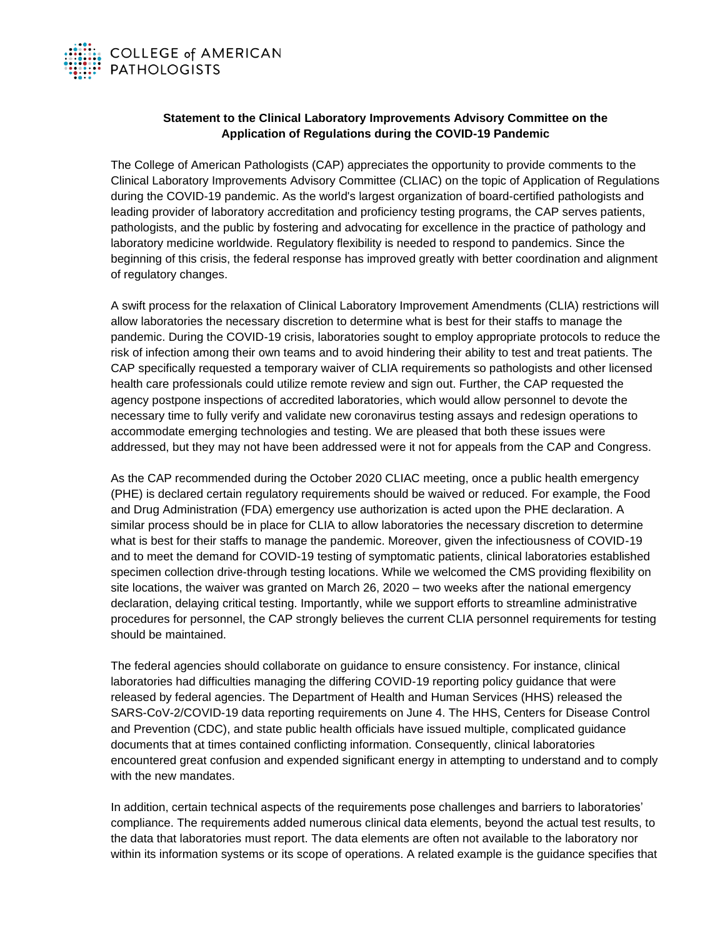

## **Statement to the Clinical Laboratory Improvements Advisory Committee on the Application of Regulations during the COVID-19 Pandemic**

The College of American Pathologists (CAP) appreciates the opportunity to provide comments to the Clinical Laboratory Improvements Advisory Committee (CLIAC) on the topic of Application of Regulations during the COVID-19 pandemic. As the world's largest organization of board-certified pathologists and leading provider of laboratory accreditation and proficiency testing programs, the CAP serves patients, pathologists, and the public by fostering and advocating for excellence in the practice of pathology and laboratory medicine worldwide. Regulatory flexibility is needed to respond to pandemics. Since the beginning of this crisis, the federal response has improved greatly with better coordination and alignment of regulatory changes.

A swift process for the relaxation of Clinical Laboratory Improvement Amendments (CLIA) restrictions will allow laboratories the necessary discretion to determine what is best for their staffs to manage the pandemic. During the COVID-19 crisis, laboratories sought to employ appropriate protocols to reduce the risk of infection among their own teams and to avoid hindering their ability to test and treat patients. The CAP specifically requested a temporary waiver of CLIA requirements so pathologists and other licensed health care professionals could utilize remote review and sign out. Further, the CAP requested the agency postpone inspections of accredited laboratories, which would allow personnel to devote the necessary time to fully verify and validate new coronavirus testing assays and redesign operations to accommodate emerging technologies and testing. We are pleased that both these issues were addressed, but they may not have been addressed were it not for appeals from the CAP and Congress.

As the CAP recommended during the October 2020 CLIAC meeting, once a public health emergency (PHE) is declared certain regulatory requirements should be waived or reduced. For example, the Food and Drug Administration (FDA) emergency use authorization is acted upon the PHE declaration. A similar process should be in place for CLIA to allow laboratories the necessary discretion to determine what is best for their staffs to manage the pandemic. Moreover, given the infectiousness of COVID-19 and to meet the demand for COVID-19 testing of symptomatic patients, clinical laboratories established specimen collection drive-through testing locations. While we welcomed the CMS providing flexibility on site locations, the waiver was granted on March 26, 2020 – two weeks after the national emergency declaration, delaying critical testing. Importantly, while we support efforts to streamline administrative procedures for personnel, the CAP strongly believes the current CLIA personnel requirements for testing should be maintained.

The federal agencies should collaborate on guidance to ensure consistency. For instance, clinical laboratories had difficulties managing the differing COVID-19 reporting policy guidance that were released by federal agencies. The Department of Health and Human Services (HHS) released the SARS-CoV-2/COVID-19 data reporting requirements on June 4. The HHS, Centers for Disease Control and Prevention (CDC), and state public health officials have issued multiple, complicated guidance documents that at times contained conflicting information. Consequently, clinical laboratories encountered great confusion and expended significant energy in attempting to understand and to comply with the new mandates.

In addition, certain technical aspects of the requirements pose challenges and barriers to laboratories' compliance. The requirements added numerous clinical data elements, beyond the actual test results, to the data that laboratories must report. The data elements are often not available to the laboratory nor within its information systems or its scope of operations. A related example is the guidance specifies that